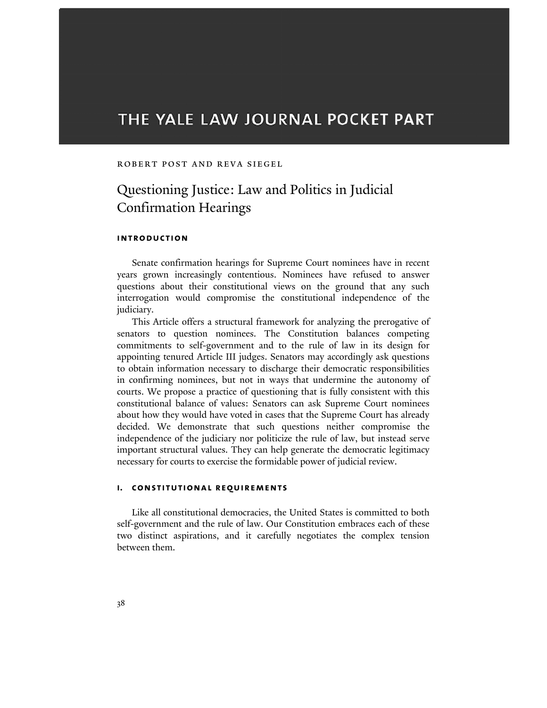# THE YALE LAW JOURNAL POCKET PART

robert post and reva siegel

# Questioning Justice: Law and Politics in Judicial Confirmation Hearings

# **introduction**

Senate confirmation hearings for Supreme Court nominees have in recent years grown increasingly contentious. Nominees have refused to answer questions about their constitutional views on the ground that any such interrogation would compromise the constitutional independence of the judiciary.

This Article offers a structural framework for analyzing the prerogative of senators to question nominees. The Constitution balances competing commitments to self-government and to the rule of law in its design for appointing tenured Article III judges. Senators may accordingly ask questions to obtain information necessary to discharge their democratic responsibilities in confirming nominees, but not in ways that undermine the autonomy of courts. We propose a practice of questioning that is fully consistent with this constitutional balance of values: Senators can ask Supreme Court nominees about how they would have voted in cases that the Supreme Court has already decided. We demonstrate that such questions neither compromise the independence of the judiciary nor politicize the rule of law, but instead serve important structural values. They can help generate the democratic legitimacy necessary for courts to exercise the formidable power of judicial review.

# **i. constitutional requirements**

Like all constitutional democracies, the United States is committed to both self-government and the rule of law. Our Constitution embraces each of these two distinct aspirations, and it carefully negotiates the complex tension between them.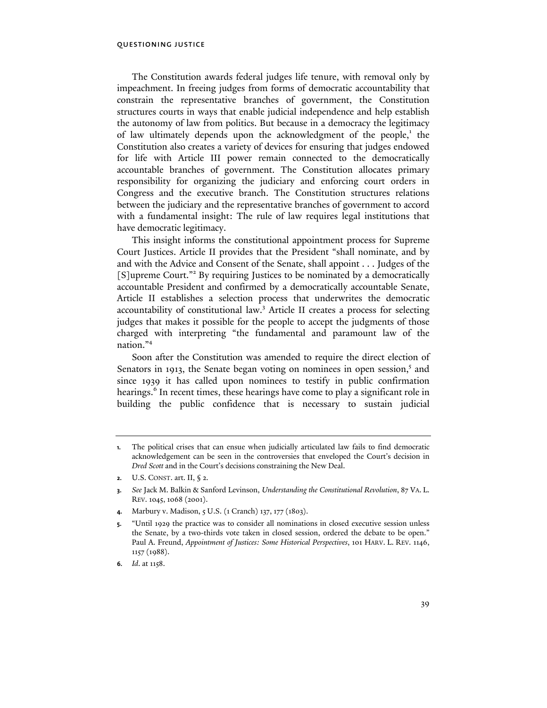The Constitution awards federal judges life tenure, with removal only by impeachment. In freeing judges from forms of democratic accountability that constrain the representative branches of government, the Constitution structures courts in ways that enable judicial independence and help establish the autonomy of law from politics. But because in a democracy the legitimacy of law ultimately depends upon the acknowledgment of the people,<sup>1</sup> the Constitution also creates a variety of devices for ensuring that judges endowed for life with Article III power remain connected to the democratically accountable branches of government. The Constitution allocates primary responsibility for organizing the judiciary and enforcing court orders in Congress and the executive branch. The Constitution structures relations between the judiciary and the representative branches of government to accord with a fundamental insight: The rule of law requires legal institutions that have democratic legitimacy.

This insight informs the constitutional appointment process for Supreme Court Justices. Article II provides that the President "shall nominate, and by and with the Advice and Consent of the Senate, shall appoint . . . Judges of the [S]upreme Court."<sup>2</sup> By requiring Justices to be nominated by a democratically accountable President and confirmed by a democratically accountable Senate, Article II establishes a selection process that underwrites the democratic accountability of constitutional law.<sup>3</sup> Article II creates a process for selecting judges that makes it possible for the people to accept the judgments of those charged with interpreting "the fundamental and paramount law of the nation."<sup>4</sup>

Soon after the Constitution was amended to require the direct election of Senators in 1913, the Senate began voting on nominees in open session,<sup>5</sup> and since 1939 it has called upon nominees to testify in public confirmation hearings.<sup>6</sup> In recent times, these hearings have come to play a significant role in building the public confidence that is necessary to sustain judicial

**4.** Marbury v. Madison, 5 U.S. (1 Cranch) 137, 177 (1803).

**<sup>1.</sup>** The political crises that can ensue when judicially articulated law fails to find democratic acknowledgement can be seen in the controversies that enveloped the Court's decision in *Dred Scott* and in the Court's decisions constraining the New Deal.

**<sup>2.</sup>** U.S. CONST. art. II, § 2.

**<sup>3.</sup>** *See* Jack M. Balkin & Sanford Levinson, *Understanding the Constitutional Revolution*, 87 VA. L. REV. 1045, 1068 (2001).

**<sup>5.</sup>** "Until 1929 the practice was to consider all nominations in closed executive session unless the Senate, by a two-thirds vote taken in closed session, ordered the debate to be open." Paul A. Freund, *Appointment of Justices: Some Historical Perspectives*, 101 HARV. L. REV. 1146, 1157 (1988).

**<sup>6.</sup>** *Id*. at 1158.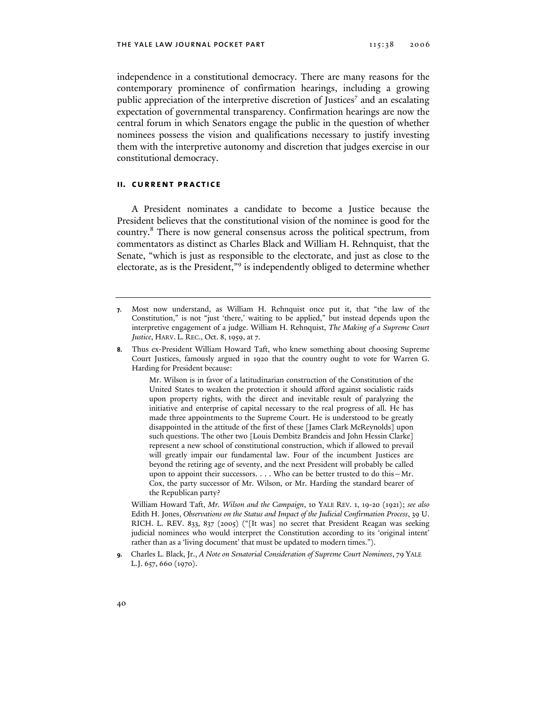independence in a constitutional democracy. There are many reasons for the contemporary prominence of confirmation hearings, including a growing public appreciation of the interpretive discretion of Justices<sup>7</sup> and an escalating expectation of governmental transparency. Confirmation hearings are now the central forum in which Senators engage the public in the question of whether nominees possess the vision and qualifications necessary to justify investing them with the interpretive autonomy and discretion that judges exercise in our constitutional democracy.

# **ii. current practice**

A President nominates a candidate to become a Justice because the President believes that the constitutional vision of the nominee is good for the country.<sup>8</sup> There is now general consensus across the political spectrum, from commentators as distinct as Charles Black and William H. Rehnquist, that the Senate, "which is just as responsible to the electorate, and just as close to the electorate, as is the President,"<sup>9</sup> is independently obliged to determine whether

Mr. Wilson is in favor of a latitudinarian construction of the Constitution of the United States to weaken the protection it should afford against socialistic raids upon property rights, with the direct and inevitable result of paralyzing the initiative and enterprise of capital necessary to the real progress of all. He has made three appointments to the Supreme Court. He is understood to be greatly disappointed in the attitude of the first of these [James Clark McReynolds] upon such questions. The other two [Louis Dembitz Brandeis and John Hessin Clarke] represent a new school of constitutional construction, which if allowed to prevail will greatly impair our fundamental law. Four of the incumbent Justices are beyond the retiring age of seventy, and the next President will probably be called upon to appoint their successors.  $\dots$  Who can be better trusted to do this  $-Mr$ . Cox, the party successor of Mr. Wilson, or Mr. Harding the standard bearer of the Republican party?

William Howard Taft, *Mr. Wilson and the Campaign*, 10 YALE REV. 1, 19-20 (1921); *see also* Edith H. Jones, *Observations on the Status and Impact of the Judicial Confirmation Process*, 39 U. RICH. L. REV. 833, 837 (2005) ("[It was] no secret that President Reagan was seeking judicial nominees who would interpret the Constitution according to its 'original intent' rather than as a 'living document' that must be updated to modern times.").

**9.** Charles L. Black, Jr., *A Note on Senatorial Consideration of Supreme Court Nominees*, 79 YALE L.J. 657, 660 (1970).

**<sup>7.</sup>** Most now understand, as William H. Rehnquist once put it, that "the law of the Constitution," is not "just 'there,' waiting to be applied," but instead depends upon the interpretive engagement of a judge. William H. Rehnquist, *The Making of a Supreme Court Justice*, HARV. L. REC., Oct. 8, 1959, at 7.

**<sup>8.</sup>** Thus ex-President William Howard Taft, who knew something about choosing Supreme Court Justices, famously argued in 1920 that the country ought to vote for Warren G. Harding for President because: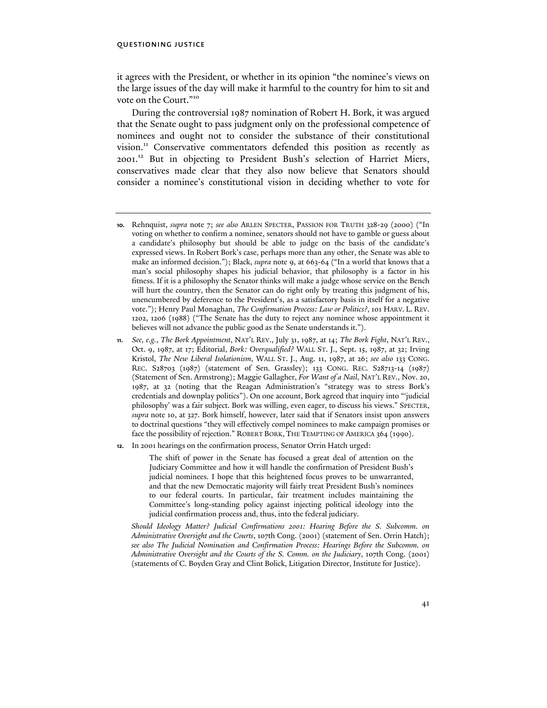it agrees with the President, or whether in its opinion "the nominee's views on the large issues of the day will make it harmful to the country for him to sit and vote on the Court."<sup>10</sup>

During the controversial 1987 nomination of Robert H. Bork, it was argued that the Senate ought to pass judgment only on the professional competence of nominees and ought not to consider the substance of their constitutional vision.<sup>11</sup> Conservative commentators defended this position as recently as 2001.12 But in objecting to President Bush's selection of Harriet Miers, conservatives made clear that they also now believe that Senators should consider a nominee's constitutional vision in deciding whether to vote for

- **10.** Rehnquist, *supra* note 7; *see also* ARLEN SPECTER, PASSION FOR TRUTH 328-29 (2000) ("In voting on whether to confirm a nominee, senators should not have to gamble or guess about a candidate's philosophy but should be able to judge on the basis of the candidate's expressed views. In Robert Bork's case, perhaps more than any other, the Senate was able to make an informed decision."); Black, *supra* note 9, at 663-64 ("In a world that knows that a man's social philosophy shapes his judicial behavior, that philosophy is a factor in his fitness. If it is a philosophy the Senator thinks will make a judge whose service on the Bench will hurt the country, then the Senator can do right only by treating this judgment of his, unencumbered by deference to the President's, as a satisfactory basis in itself for a negative vote."); Henry Paul Monaghan, *The Confirmation Process: Law or Politics?*, 101 HARV. L. REV. 1202, 1206 (1988) ("The Senate has the duty to reject any nominee whose appointment it believes will not advance the public good as the Senate understands it.").
- **11.** *See, e.g.*, *The Bork Appointment*, NAT'L REV., July 31, 1987, at 14; *The Bork Fight*, NAT'L REV., Oct. 9, 1987, at 17; Editorial, *Bork: Overqualified?* WALL ST. J., Sept. 15, 1987, at 32; Irving Kristol, *The New Liberal Isolationism*, WALL ST. J., Aug. 11, 1987, at 26; *see also* 133 CONG. REC. S28703 (1987) (statement of Sen. Grassley); 133 CONG. REC. S28713-14 (1987) (Statement of Sen. Armstrong); Maggie Gallagher, *For Want of a Nail*, NAT'L REV., Nov. 20, 1987, at 32 (noting that the Reagan Administration's "strategy was to stress Bork's credentials and downplay politics"). On one account, Bork agreed that inquiry into "'judicial philosophy' was a fair subject. Bork was willing, even eager, to discuss his views." SPECTER, *supra* note 10, at 327. Bork himself, however, later said that if Senators insist upon answers to doctrinal questions "they will effectively compel nominees to make campaign promises or face the possibility of rejection." ROBERT BORK, THE TEMPTING OF AMERICA 364 (1990).
- **12.** In 2001 hearings on the confirmation process, Senator Orrin Hatch urged:

The shift of power in the Senate has focused a great deal of attention on the Judiciary Committee and how it will handle the confirmation of President Bush's judicial nominees. I hope that this heightened focus proves to be unwarranted, and that the new Democratic majority will fairly treat President Bush's nominees to our federal courts. In particular, fair treatment includes maintaining the Committee's long-standing policy against injecting political ideology into the judicial confirmation process and, thus, into the federal judiciary.

*Should Ideology Matter? Judicial Confirmations 2001: Hearing Before the S. Subcomm. on Administrative Oversight and the Courts*, 107th Cong. (2001) (statement of Sen. Orrin Hatch); *see also The Judicial Nomination and Confirmation Process: Hearings Before the Subcomm. on Administrative Oversight and the Courts of the S. Comm. on the Judiciary*, 107th Cong. (2001) (statements of C. Boyden Gray and Clint Bolick, Litigation Director, Institute for Justice).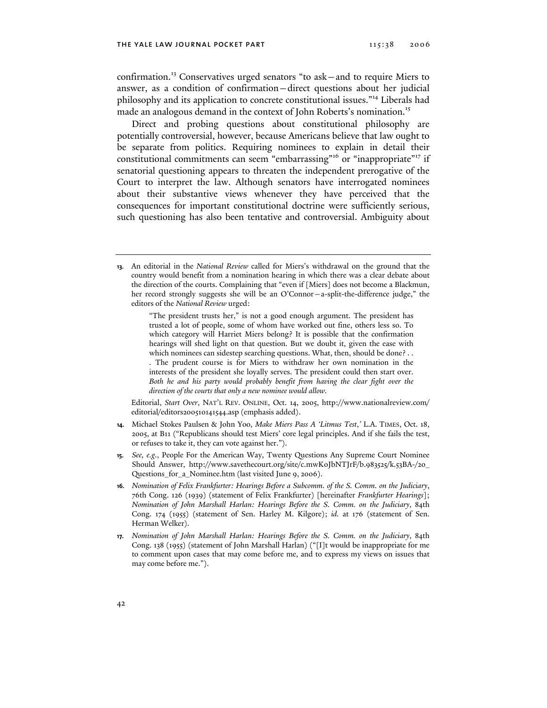confirmation.13 Conservatives urged senators "to ask—and to require Miers to answer, as a condition of confirmation—direct questions about her judicial philosophy and its application to concrete constitutional issues."14 Liberals had made an analogous demand in the context of John Roberts's nomination.<sup>15</sup>

Direct and probing questions about constitutional philosophy are potentially controversial, however, because Americans believe that law ought to be separate from politics. Requiring nominees to explain in detail their constitutional commitments can seem "embarrassing"<sup>16</sup> or "inappropriate"<sup>17</sup> if senatorial questioning appears to threaten the independent prerogative of the Court to interpret the law. Although senators have interrogated nominees about their substantive views whenever they have perceived that the consequences for important constitutional doctrine were sufficiently serious, such questioning has also been tentative and controversial. Ambiguity about

"The president trusts her," is not a good enough argument. The president has trusted a lot of people, some of whom have worked out fine, others less so. To which category will Harriet Miers belong? It is possible that the confirmation hearings will shed light on that question. But we doubt it, given the ease with which nominees can sidestep searching questions. What, then, should be done?.. . The prudent course is for Miers to withdraw her own nomination in the interests of the president she loyally serves. The president could then start over. *Both he and his party would probably benefit from having the clear fight over the direction of the courts that only a new nominee would allow.*

Editorial, *Start Over*, NAT'L REV. ONLINE, Oct. 14, 2005, http://www.nationalreview.com/ editorial/editors200510141544.asp (emphasis added).

- **14.** Michael Stokes Paulsen & John Yoo, *Make Miers Pass A 'Litmus Test*,*'* L.A. TIMES, Oct. 18, 2005, at B11 ("Republicans should test Miers' core legal principles. And if she fails the test, or refuses to take it, they can vote against her.").
- **15.** *See, e.g.*, People For the American Way, Twenty Questions Any Supreme Court Nominee Should Answer, http://www.savethecourt.org/site/c.mwK0JbNTJrF/b.983525/k.53BA-/20\_ Questions\_for\_a\_Nominee.htm (last visited June 9, 2006).
- **16.** *Nomination of Felix Frankfurter: Hearings Before a Subcomm. of the S. Comm. on the Judiciary*, 76th Cong. 126 (1939) (statement of Felix Frankfurter) [hereinafter *Frankfurter Hearings*]; *Nomination of John Marshall Harlan: Hearings Before the S. Comm. on the Judiciary*, 84th Cong. 174 (1955) (statement of Sen. Harley M. Kilgore); *id.* at 176 (statement of Sen. Herman Welker).
- **17.** *Nomination of John Marshall Harlan: Hearings Before the S. Comm. on the Judiciary*, 84th Cong. 138 (1955) (statement of John Marshall Harlan) ("[I]t would be inappropriate for me to comment upon cases that may come before me, and to express my views on issues that may come before me.").

**<sup>13.</sup>** An editorial in the *National Review* called for Miers's withdrawal on the ground that the country would benefit from a nomination hearing in which there was a clear debate about the direction of the courts. Complaining that "even if [Miers] does not become a Blackmun, her record strongly suggests she will be an O'Connor—a-split-the-difference judge," the editors of the *National Review* urged: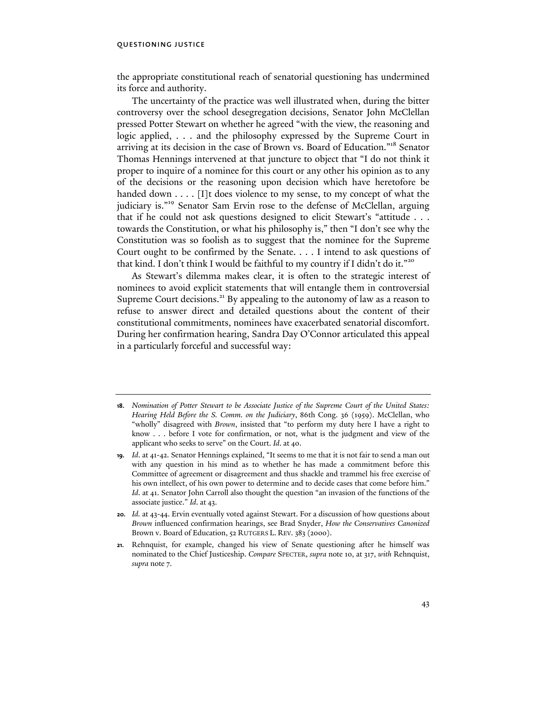the appropriate constitutional reach of senatorial questioning has undermined its force and authority.

The uncertainty of the practice was well illustrated when, during the bitter controversy over the school desegregation decisions, Senator John McClellan pressed Potter Stewart on whether he agreed "with the view, the reasoning and logic applied, . . . and the philosophy expressed by the Supreme Court in arriving at its decision in the case of Brown vs. Board of Education."18 Senator Thomas Hennings intervened at that juncture to object that "I do not think it proper to inquire of a nominee for this court or any other his opinion as to any of the decisions or the reasoning upon decision which have heretofore be handed down  $\dots$ . [I]t does violence to my sense, to my concept of what the judiciary is."<sup>19</sup> Senator Sam Ervin rose to the defense of McClellan, arguing that if he could not ask questions designed to elicit Stewart's "attitude . . . towards the Constitution, or what his philosophy is," then "I don't see why the Constitution was so foolish as to suggest that the nominee for the Supreme Court ought to be confirmed by the Senate. . . . I intend to ask questions of that kind. I don't think I would be faithful to my country if I didn't do it."<sup>20</sup>

As Stewart's dilemma makes clear, it is often to the strategic interest of nominees to avoid explicit statements that will entangle them in controversial Supreme Court decisions.<sup>21</sup> By appealing to the autonomy of law as a reason to refuse to answer direct and detailed questions about the content of their constitutional commitments, nominees have exacerbated senatorial discomfort. During her confirmation hearing, Sandra Day O'Connor articulated this appeal in a particularly forceful and successful way:

- **20.** *Id.* at 43-44. Ervin eventually voted against Stewart. For a discussion of how questions about *Brown* influenced confirmation hearings, see Brad Snyder, *How the Conservatives Canonized* Brown v. Board of Education, 52 RUTGERS L. REV. 383 (2000).
- **21.** Rehnquist, for example, changed his view of Senate questioning after he himself was nominated to the Chief Justiceship. *Compare* SPECTER, *supra* note 10, at 317, *with* Rehnquist, *supra* note 7.

**<sup>18.</sup>** *Nomination of Potter Stewart to be Associate Justice of the Supreme Court of the United States: Hearing Held Before the S. Comm. on the Judiciary*, 86th Cong. 36 (1959). McClellan, who "wholly" disagreed with *Brown*, insisted that "to perform my duty here I have a right to know . . . before I vote for confirmation, or not, what is the judgment and view of the applicant who seeks to serve" on the Court. *Id*. at 40.

**<sup>19.</sup>** *Id*. at 41-42. Senator Hennings explained, "It seems to me that it is not fair to send a man out with any question in his mind as to whether he has made a commitment before this Committee of agreement or disagreement and thus shackle and trammel his free exercise of his own intellect, of his own power to determine and to decide cases that come before him." *Id.* at 41. Senator John Carroll also thought the question "an invasion of the functions of the associate justice." *Id*. at 43.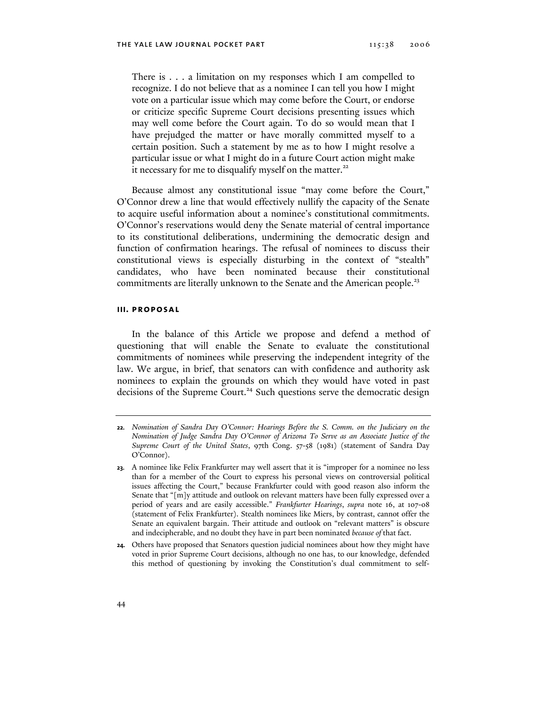There is . . . a limitation on my responses which I am compelled to recognize. I do not believe that as a nominee I can tell you how I might vote on a particular issue which may come before the Court, or endorse or criticize specific Supreme Court decisions presenting issues which may well come before the Court again. To do so would mean that I have prejudged the matter or have morally committed myself to a certain position. Such a statement by me as to how I might resolve a particular issue or what I might do in a future Court action might make it necessary for me to disqualify myself on the matter. $^{22}$ 

Because almost any constitutional issue "may come before the Court," O'Connor drew a line that would effectively nullify the capacity of the Senate to acquire useful information about a nominee's constitutional commitments. O'Connor's reservations would deny the Senate material of central importance to its constitutional deliberations, undermining the democratic design and function of confirmation hearings. The refusal of nominees to discuss their constitutional views is especially disturbing in the context of "stealth" candidates, who have been nominated because their constitutional commitments are literally unknown to the Senate and the American people.<sup>23</sup>

# **iii. proposal**

In the balance of this Article we propose and defend a method of questioning that will enable the Senate to evaluate the constitutional commitments of nominees while preserving the independent integrity of the law. We argue, in brief, that senators can with confidence and authority ask nominees to explain the grounds on which they would have voted in past decisions of the Supreme Court.<sup>24</sup> Such questions serve the democratic design

**<sup>22.</sup>** *Nomination of Sandra Day O'Connor: Hearings Before the S. Comm. on the Judiciary on the Nomination of Judge Sandra Day O'Connor of Arizona To Serve as an Associate Justice of the Supreme Court of the United States*, 97th Cong. 57-58 (1981) (statement of Sandra Day O'Connor).

**<sup>23.</sup>** A nominee like Felix Frankfurter may well assert that it is "improper for a nominee no less than for a member of the Court to express his personal views on controversial political issues affecting the Court," because Frankfurter could with good reason also inform the Senate that "[m]y attitude and outlook on relevant matters have been fully expressed over a period of years and are easily accessible." *Frankfurter Hearings*, *supra* note 16, at 107-08 (statement of Felix Frankfurter). Stealth nominees like Miers, by contrast, cannot offer the Senate an equivalent bargain. Their attitude and outlook on "relevant matters" is obscure and indecipherable, and no doubt they have in part been nominated *because of* that fact.

**<sup>24.</sup>** Others have proposed that Senators question judicial nominees about how they might have voted in prior Supreme Court decisions, although no one has, to our knowledge, defended this method of questioning by invoking the Constitution's dual commitment to self-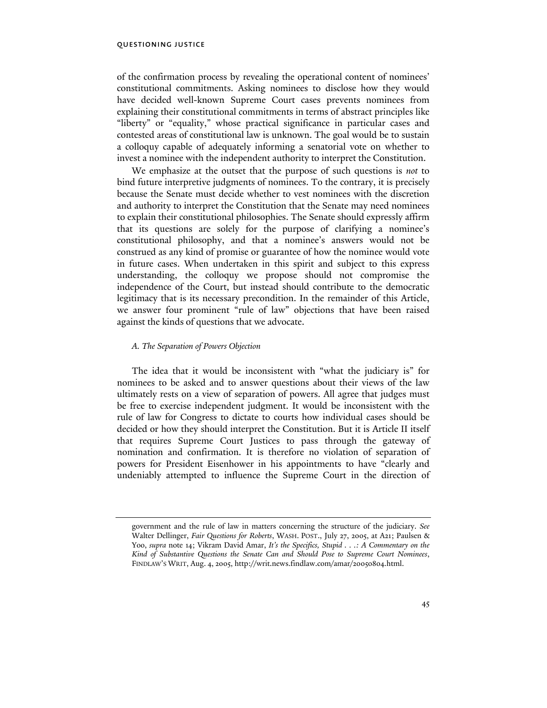of the confirmation process by revealing the operational content of nominees' constitutional commitments. Asking nominees to disclose how they would have decided well-known Supreme Court cases prevents nominees from explaining their constitutional commitments in terms of abstract principles like "liberty" or "equality," whose practical significance in particular cases and contested areas of constitutional law is unknown. The goal would be to sustain a colloquy capable of adequately informing a senatorial vote on whether to invest a nominee with the independent authority to interpret the Constitution.

We emphasize at the outset that the purpose of such questions is *not* to bind future interpretive judgments of nominees. To the contrary, it is precisely because the Senate must decide whether to vest nominees with the discretion and authority to interpret the Constitution that the Senate may need nominees to explain their constitutional philosophies. The Senate should expressly affirm that its questions are solely for the purpose of clarifying a nominee's constitutional philosophy, and that a nominee's answers would not be construed as any kind of promise or guarantee of how the nominee would vote in future cases. When undertaken in this spirit and subject to this express understanding, the colloquy we propose should not compromise the independence of the Court, but instead should contribute to the democratic legitimacy that is its necessary precondition. In the remainder of this Article, we answer four prominent "rule of law" objections that have been raised against the kinds of questions that we advocate.

#### *A. The Separation of Powers Objection*

The idea that it would be inconsistent with "what the judiciary is" for nominees to be asked and to answer questions about their views of the law ultimately rests on a view of separation of powers. All agree that judges must be free to exercise independent judgment. It would be inconsistent with the rule of law for Congress to dictate to courts how individual cases should be decided or how they should interpret the Constitution. But it is Article II itself that requires Supreme Court Justices to pass through the gateway of nomination and confirmation. It is therefore no violation of separation of powers for President Eisenhower in his appointments to have "clearly and undeniably attempted to influence the Supreme Court in the direction of

government and the rule of law in matters concerning the structure of the judiciary. *See*  Walter Dellinger, *Fair Questions for Roberts*, WASH. POST., July 27, 2005, at A21; Paulsen & Yoo, *supra* note 14; Vikram David Amar, *It's the Specifics, Stupid . . .: A Commentary on the Kind of Substantive Questions the Senate Can and Should Pose to Supreme Court Nominees*, FINDLAW'S WRIT, Aug. 4, 2005, http://writ.news.findlaw.com/amar/20050804.html.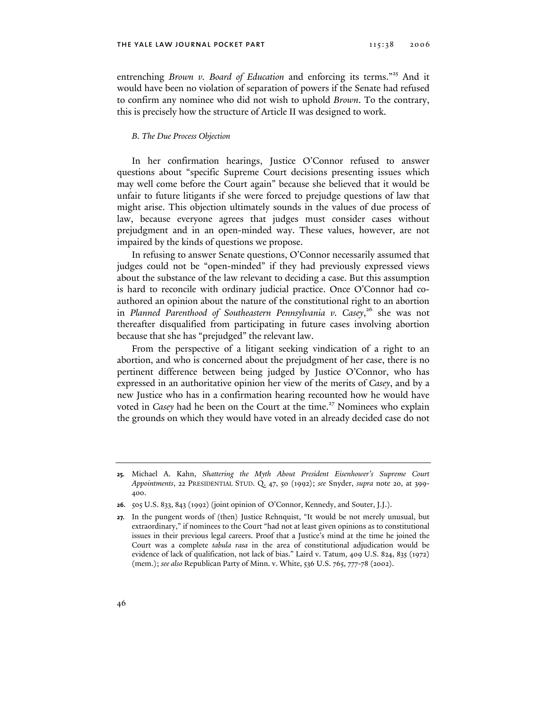entrenching *Brown v. Board of Education* and enforcing its terms."<sup>25</sup> And it would have been no violation of separation of powers if the Senate had refused to confirm any nominee who did not wish to uphold *Brown*. To the contrary, this is precisely how the structure of Article II was designed to work.

#### *B. The Due Process Objection*

In her confirmation hearings, Justice O'Connor refused to answer questions about "specific Supreme Court decisions presenting issues which may well come before the Court again" because she believed that it would be unfair to future litigants if she were forced to prejudge questions of law that might arise. This objection ultimately sounds in the values of due process of law, because everyone agrees that judges must consider cases without prejudgment and in an open-minded way. These values, however, are not impaired by the kinds of questions we propose.

In refusing to answer Senate questions, O'Connor necessarily assumed that judges could not be "open-minded" if they had previously expressed views about the substance of the law relevant to deciding a case. But this assumption is hard to reconcile with ordinary judicial practice. Once O'Connor had coauthored an opinion about the nature of the constitutional right to an abortion in *Planned Parenthood of Southeastern Pennsylvania v. Casey*, 26 she was not thereafter disqualified from participating in future cases involving abortion because that she has "prejudged" the relevant law.

From the perspective of a litigant seeking vindication of a right to an abortion, and who is concerned about the prejudgment of her case, there is no pertinent difference between being judged by Justice O'Connor, who has expressed in an authoritative opinion her view of the merits of *Casey*, and by a new Justice who has in a confirmation hearing recounted how he would have voted in *Casey* had he been on the Court at the time.<sup>27</sup> Nominees who explain the grounds on which they would have voted in an already decided case do not

**<sup>25.</sup>** Michael A. Kahn, *Shattering the Myth About President Eisenhower's Supreme Court Appointments*, 22 PRESIDENTIAL STUD. Q. 47, 50 (1992); *see* Snyder, *supra* note 20, at 399- 400.

**<sup>26.</sup>** 505 U.S. 833, 843 (1992) (joint opinion of O'Connor, Kennedy, and Souter, J.J.).

**<sup>27.</sup>** In the pungent words of (then) Justice Rehnquist, "It would be not merely unusual, but extraordinary," if nominees to the Court "had not at least given opinions as to constitutional issues in their previous legal careers. Proof that a Justice's mind at the time he joined the Court was a complete *tabula rasa* in the area of constitutional adjudication would be evidence of lack of qualification, not lack of bias." Laird v. Tatum, 409 U.S. 824, 835 (1972) (mem.); *see also* Republican Party of Minn. v. White, 536 U.S. 765, 777-78 (2002).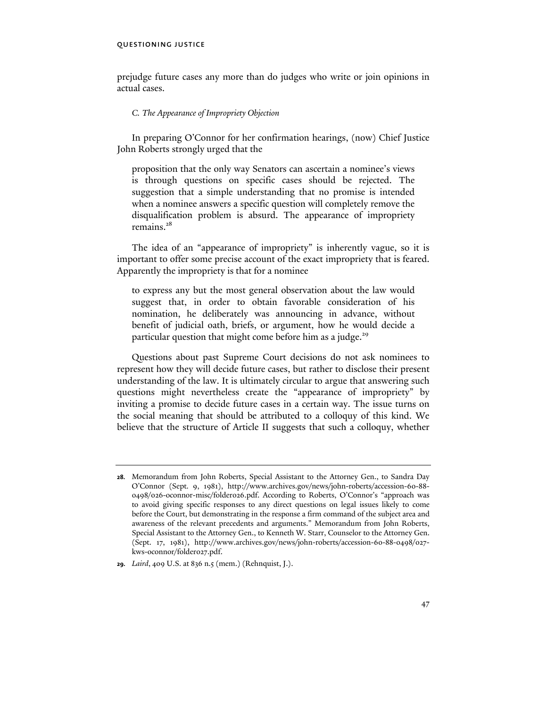prejudge future cases any more than do judges who write or join opinions in actual cases.

# *C. The Appearance of Impropriety Objection*

In preparing O'Connor for her confirmation hearings, (now) Chief Justice John Roberts strongly urged that the

proposition that the only way Senators can ascertain a nominee's views is through questions on specific cases should be rejected. The suggestion that a simple understanding that no promise is intended when a nominee answers a specific question will completely remove the disqualification problem is absurd. The appearance of impropriety remains.<sup>28</sup>

The idea of an "appearance of impropriety" is inherently vague, so it is important to offer some precise account of the exact impropriety that is feared. Apparently the impropriety is that for a nominee

to express any but the most general observation about the law would suggest that, in order to obtain favorable consideration of his nomination, he deliberately was announcing in advance, without benefit of judicial oath, briefs, or argument, how he would decide a particular question that might come before him as a judge.<sup>29</sup>

Questions about past Supreme Court decisions do not ask nominees to represent how they will decide future cases, but rather to disclose their present understanding of the law. It is ultimately circular to argue that answering such questions might nevertheless create the "appearance of impropriety" by inviting a promise to decide future cases in a certain way. The issue turns on the social meaning that should be attributed to a colloquy of this kind. We believe that the structure of Article II suggests that such a colloquy, whether

**<sup>28.</sup>** Memorandum from John Roberts, Special Assistant to the Attorney Gen., to Sandra Day O'Connor (Sept. 9, 1981), http://www.archives.gov/news/john-roberts/accession-60-88- 0498/026-oconnor-misc/folder026.pdf. According to Roberts, O'Connor's "approach was to avoid giving specific responses to any direct questions on legal issues likely to come before the Court, but demonstrating in the response a firm command of the subject area and awareness of the relevant precedents and arguments." Memorandum from John Roberts, Special Assistant to the Attorney Gen., to Kenneth W. Starr, Counselor to the Attorney Gen. (Sept. 17, 1981), http://www.archives.gov/news/john-roberts/accession-60-88-0498/027 kws-oconnor/folder027.pdf.

**<sup>29.</sup>** *Laird*, 409 U.S. at 836 n.5 (mem.) (Rehnquist, J.).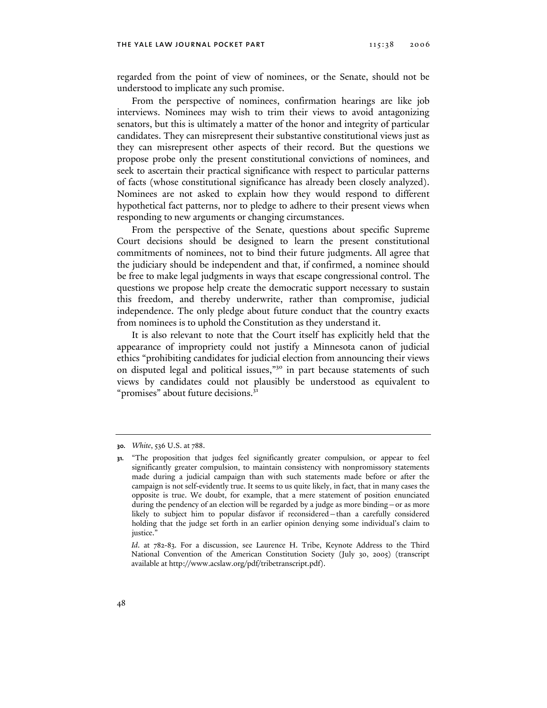regarded from the point of view of nominees, or the Senate, should not be understood to implicate any such promise.

From the perspective of nominees, confirmation hearings are like job interviews. Nominees may wish to trim their views to avoid antagonizing senators, but this is ultimately a matter of the honor and integrity of particular candidates. They can misrepresent their substantive constitutional views just as they can misrepresent other aspects of their record. But the questions we propose probe only the present constitutional convictions of nominees, and seek to ascertain their practical significance with respect to particular patterns of facts (whose constitutional significance has already been closely analyzed). Nominees are not asked to explain how they would respond to different hypothetical fact patterns, nor to pledge to adhere to their present views when responding to new arguments or changing circumstances.

From the perspective of the Senate, questions about specific Supreme Court decisions should be designed to learn the present constitutional commitments of nominees, not to bind their future judgments. All agree that the judiciary should be independent and that, if confirmed, a nominee should be free to make legal judgments in ways that escape congressional control. The questions we propose help create the democratic support necessary to sustain this freedom, and thereby underwrite, rather than compromise, judicial independence. The only pledge about future conduct that the country exacts from nominees is to uphold the Constitution as they understand it.

It is also relevant to note that the Court itself has explicitly held that the appearance of impropriety could not justify a Minnesota canon of judicial ethics "prohibiting candidates for judicial election from announcing their views on disputed legal and political issues,"30 in part because statements of such views by candidates could not plausibly be understood as equivalent to "promises" about future decisions.<sup>31</sup>

**<sup>30.</sup>** *White*, 536 U.S. at 788.

**<sup>31.</sup>** "The proposition that judges feel significantly greater compulsion, or appear to feel significantly greater compulsion, to maintain consistency with nonpromissory statements made during a judicial campaign than with such statements made before or after the campaign is not self-evidently true. It seems to us quite likely, in fact, that in many cases the opposite is true. We doubt, for example, that a mere statement of position enunciated during the pendency of an election will be regarded by a judge as more binding—or as more likely to subject him to popular disfavor if reconsidered—than a carefully considered holding that the judge set forth in an earlier opinion denying some individual's claim to justice."

*Id*. at 782-83. For a discussion, see Laurence H. Tribe, Keynote Address to the Third National Convention of the American Constitution Society (July 30, 2005) (transcript available at http://www.acslaw.org/pdf/tribetranscript.pdf).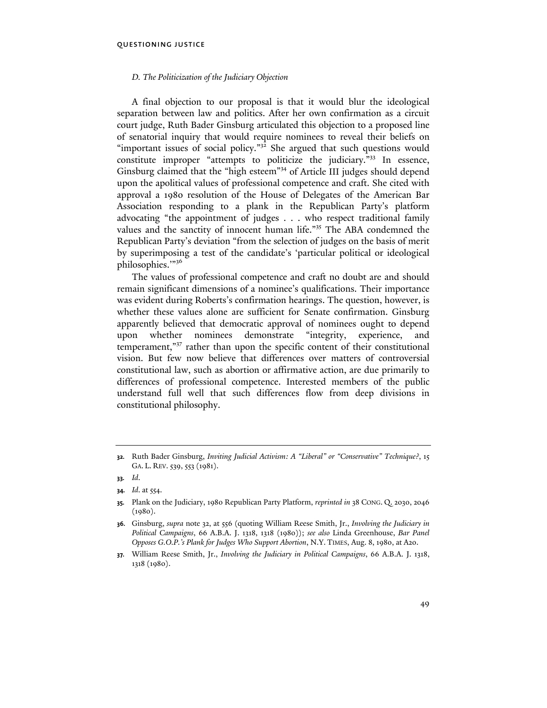#### *D. The Politicization of the Judiciary Objection*

A final objection to our proposal is that it would blur the ideological separation between law and politics. After her own confirmation as a circuit court judge, Ruth Bader Ginsburg articulated this objection to a proposed line of senatorial inquiry that would require nominees to reveal their beliefs on "important issues of social policy."<sup>32</sup> She argued that such questions would constitute improper "attempts to politicize the judiciary."33 In essence, Ginsburg claimed that the "high esteem"34 of Article III judges should depend upon the apolitical values of professional competence and craft. She cited with approval a 1980 resolution of the House of Delegates of the American Bar Association responding to a plank in the Republican Party's platform advocating "the appointment of judges . . . who respect traditional family values and the sanctity of innocent human life."<sup>35</sup> The ABA condemned the Republican Party's deviation "from the selection of judges on the basis of merit by superimposing a test of the candidate's 'particular political or ideological philosophies.'"36

The values of professional competence and craft no doubt are and should remain significant dimensions of a nominee's qualifications. Their importance was evident during Roberts's confirmation hearings. The question, however, is whether these values alone are sufficient for Senate confirmation. Ginsburg apparently believed that democratic approval of nominees ought to depend upon whether nominees demonstrate "integrity, experience, and temperament,"37 rather than upon the specific content of their constitutional vision. But few now believe that differences over matters of controversial constitutional law, such as abortion or affirmative action, are due primarily to differences of professional competence. Interested members of the public understand full well that such differences flow from deep divisions in constitutional philosophy.

**<sup>32.</sup>** Ruth Bader Ginsburg, *Inviting Judicial Activism: A "Liberal" or "Conservative" Technique?*, 15 GA. L. REV. 539, 553 (1981).

**<sup>33.</sup>** *Id*.

**<sup>34.</sup>** *Id*. at 554.

**<sup>35.</sup>** Plank on the Judiciary, 1980 Republican Party Platform, *reprinted in* 38 CONG. Q. 2030, 2046  $(1980).$ 

**<sup>36.</sup>** Ginsburg, *supra* note 32, at 556 (quoting William Reese Smith, Jr., *Involving the Judiciary in Political Campaigns*, 66 A.B.A. J. 1318, 1318 (1980)); *see also* Linda Greenhouse, *Bar Panel Opposes G.O.P.'s Plank for Judges Who Support Abortion*, N.Y. TIMES, Aug. 8, 1980, at A20.

**<sup>37.</sup>** William Reese Smith, Jr., *Involving the Judiciary in Political Campaigns*, 66 A.B.A. J. 1318, 1318 (1980).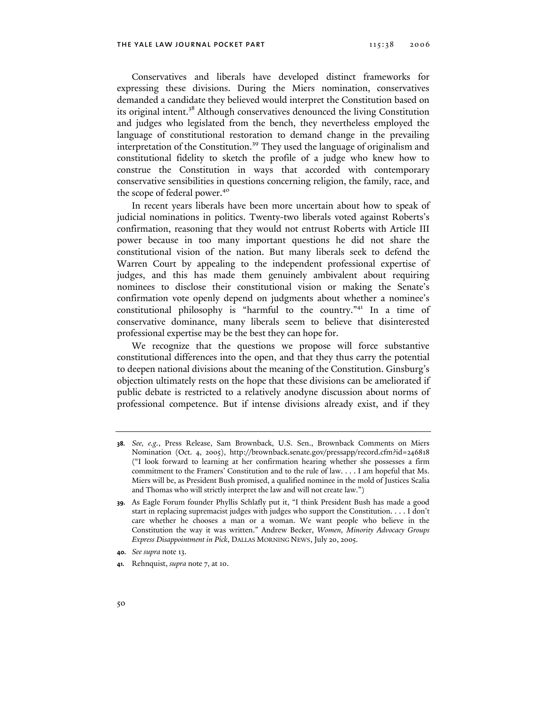Conservatives and liberals have developed distinct frameworks for expressing these divisions. During the Miers nomination, conservatives demanded a candidate they believed would interpret the Constitution based on its original intent.38 Although conservatives denounced the living Constitution and judges who legislated from the bench, they nevertheless employed the language of constitutional restoration to demand change in the prevailing interpretation of the Constitution.<sup>39</sup> They used the language of originalism and constitutional fidelity to sketch the profile of a judge who knew how to construe the Constitution in ways that accorded with contemporary conservative sensibilities in questions concerning religion, the family, race, and the scope of federal power.<sup>40</sup>

In recent years liberals have been more uncertain about how to speak of judicial nominations in politics. Twenty-two liberals voted against Roberts's confirmation, reasoning that they would not entrust Roberts with Article III power because in too many important questions he did not share the constitutional vision of the nation. But many liberals seek to defend the Warren Court by appealing to the independent professional expertise of judges, and this has made them genuinely ambivalent about requiring nominees to disclose their constitutional vision or making the Senate's confirmation vote openly depend on judgments about whether a nominee's constitutional philosophy is "harmful to the country."41 In a time of conservative dominance, many liberals seem to believe that disinterested professional expertise may be the best they can hope for.

We recognize that the questions we propose will force substantive constitutional differences into the open, and that they thus carry the potential to deepen national divisions about the meaning of the Constitution. Ginsburg's objection ultimately rests on the hope that these divisions can be ameliorated if public debate is restricted to a relatively anodyne discussion about norms of professional competence. But if intense divisions already exist, and if they

- **40.** *See supra* note 13.
- **41.** Rehnquist, *supra* note 7, at 10.

**<sup>38.</sup>** *See, e.g.*, Press Release, Sam Brownback, U.S. Sen., Brownback Comments on Miers Nomination (Oct. 4, 2005), http://brownback.senate.gov/pressapp/record.cfm?id=246818 ("I look forward to learning at her confirmation hearing whether she possesses a firm commitment to the Framers' Constitution and to the rule of law. . . . I am hopeful that Ms. Miers will be, as President Bush promised, a qualified nominee in the mold of Justices Scalia and Thomas who will strictly interpret the law and will not create law.")

**<sup>39.</sup>** As Eagle Forum founder Phyllis Schlafly put it, "I think President Bush has made a good start in replacing supremacist judges with judges who support the Constitution. . . . I don't care whether he chooses a man or a woman. We want people who believe in the Constitution the way it was written." Andrew Becker, *Women, Minority Advocacy Groups Express Disappointment in Pick*, DALLAS MORNING NEWS, July 20, 2005.